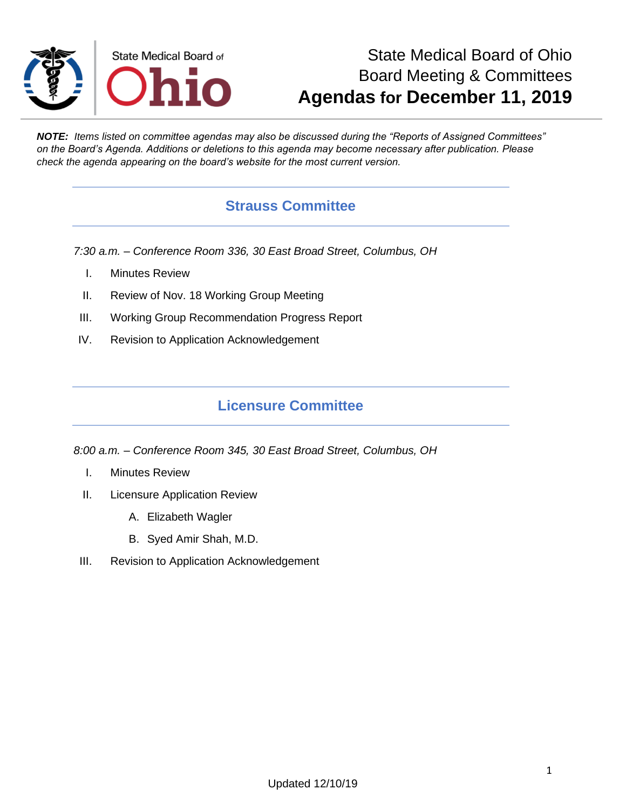

# State Medical Board of Ohio Board Meeting & Committees **Agendas for December 11, 2019**

*NOTE: Items listed on committee agendas may also be discussed during the "Reports of Assigned Committees" on the Board's Agenda. Additions or deletions to this agenda may become necessary after publication. Please check the agenda appearing on the board's website for the most current version.*

#### **Strauss Committee**

*7:30 a.m. – Conference Room 336, 30 East Broad Street, Columbus, OH*

- I. Minutes Review
- II. Review of Nov. 18 Working Group Meeting
- III. Working Group Recommendation Progress Report
- IV. Revision to Application Acknowledgement

#### **Licensure Committee**

*8:00 a.m. – Conference Room 345, 30 East Broad Street, Columbus, OH*

- I. Minutes Review
- II. Licensure Application Review
	- A. Elizabeth Wagler
	- B. Syed Amir Shah, M.D.
- III. Revision to Application Acknowledgement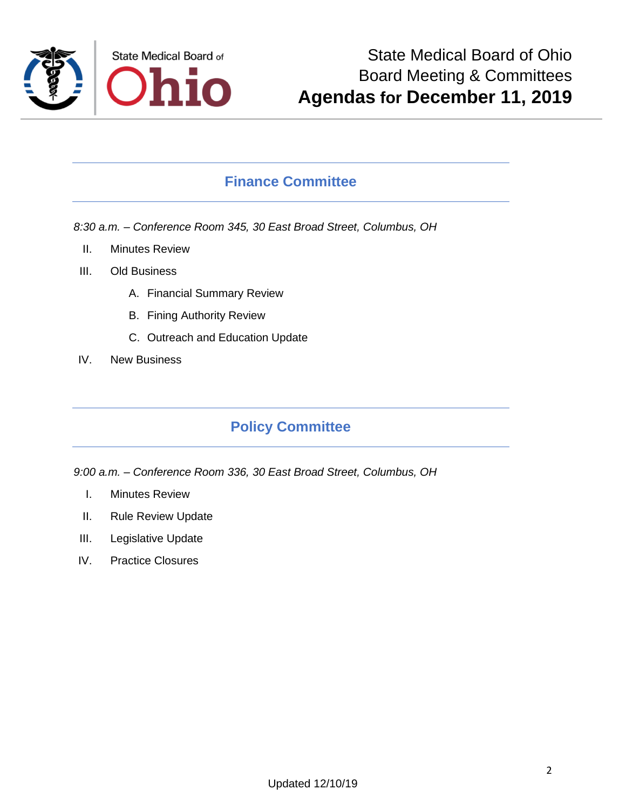

#### **Finance Committee**

*8:30 a.m. – Conference Room 345, 30 East Broad Street, Columbus, OH*

- II. Minutes Review
- III. Old Business
	- A. Financial Summary Review
	- B. Fining Authority Review
	- C. Outreach and Education Update
- IV. New Business

## **Policy Committee**

*9:00 a.m. – Conference Room 336, 30 East Broad Street, Columbus, OH*

- I. Minutes Review
- II. Rule Review Update
- III. Legislative Update
- IV. Practice Closures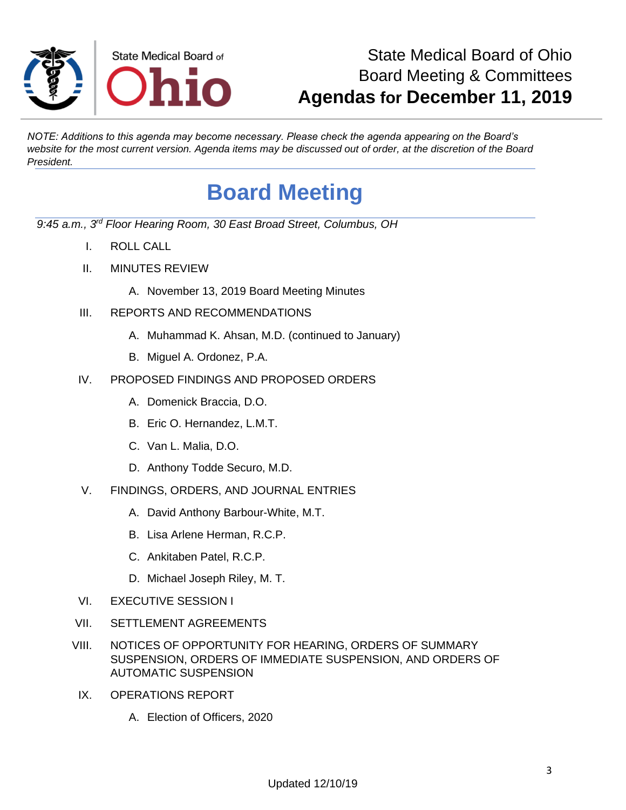

# State Medical Board of Ohio Board Meeting & Committees **Agendas for December 11, 2019**

*NOTE: Additions to this agenda may become necessary. Please check the agenda appearing on the Board's website for the most current version. Agenda items may be discussed out of order, at the discretion of the Board President.*

# **Board Meeting**

*9:45 a.m., 3rd Floor Hearing Room, 30 East Broad Street, Columbus, OH*

- I. ROLL CALL
- II. MINUTES REVIEW
	- A. November 13, 2019 Board Meeting Minutes
- III. REPORTS AND RECOMMENDATIONS
	- A. Muhammad K. Ahsan, M.D. (continued to January)
	- B. Miguel A. Ordonez, P.A.
- IV. PROPOSED FINDINGS AND PROPOSED ORDERS
	- A. Domenick Braccia, D.O.
	- B. Eric O. Hernandez, L.M.T.
	- C. Van L. Malia, D.O.
	- D. Anthony Todde Securo, M.D.
- V. FINDINGS, ORDERS, AND JOURNAL ENTRIES
	- A. David Anthony Barbour-White, M.T.
	- B. Lisa Arlene Herman, R.C.P.
	- C. Ankitaben Patel, R.C.P.
	- D. Michael Joseph Riley, M. T.
- VI. EXECUTIVE SESSION I
- VII. SETTLEMENT AGREEMENTS
- VIII. NOTICES OF OPPORTUNITY FOR HEARING, ORDERS OF SUMMARY SUSPENSION, ORDERS OF IMMEDIATE SUSPENSION, AND ORDERS OF AUTOMATIC SUSPENSION
- IX. OPERATIONS REPORT
	- A. Election of Officers, 2020